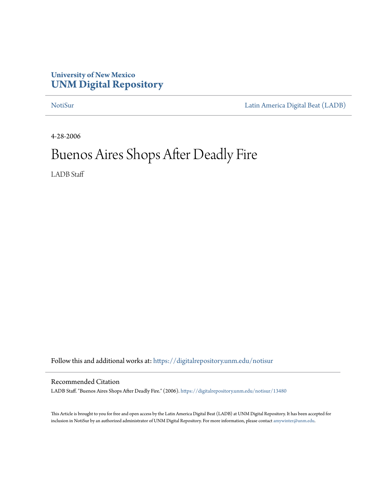### **University of New Mexico [UNM Digital Repository](https://digitalrepository.unm.edu/?utm_source=digitalrepository.unm.edu%2Fnotisur%2F13480&utm_medium=PDF&utm_campaign=PDFCoverPages)**

[NotiSur](https://digitalrepository.unm.edu/notisur?utm_source=digitalrepository.unm.edu%2Fnotisur%2F13480&utm_medium=PDF&utm_campaign=PDFCoverPages) [Latin America Digital Beat \(LADB\)](https://digitalrepository.unm.edu/ladb?utm_source=digitalrepository.unm.edu%2Fnotisur%2F13480&utm_medium=PDF&utm_campaign=PDFCoverPages)

4-28-2006

# Buenos Aires Shops After Deadly Fire

LADB Staff

Follow this and additional works at: [https://digitalrepository.unm.edu/notisur](https://digitalrepository.unm.edu/notisur?utm_source=digitalrepository.unm.edu%2Fnotisur%2F13480&utm_medium=PDF&utm_campaign=PDFCoverPages)

#### Recommended Citation

LADB Staff. "Buenos Aires Shops After Deadly Fire." (2006). [https://digitalrepository.unm.edu/notisur/13480](https://digitalrepository.unm.edu/notisur/13480?utm_source=digitalrepository.unm.edu%2Fnotisur%2F13480&utm_medium=PDF&utm_campaign=PDFCoverPages)

This Article is brought to you for free and open access by the Latin America Digital Beat (LADB) at UNM Digital Repository. It has been accepted for inclusion in NotiSur by an authorized administrator of UNM Digital Repository. For more information, please contact [amywinter@unm.edu](mailto:amywinter@unm.edu).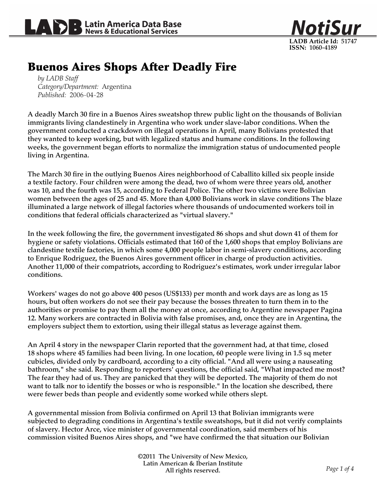



## Buenos Aires Shops After Deadly Fire

*by LADB Staff Category/Department:* Argentina *Published:* 2006-04-28

A deadly March 30 fire in a Buenos Aires sweatshop threw public light on the thousands of Bolivian immigrants living clandestinely in Argentina who work under slave-labor conditions. When the government conducted a crackdown on illegal operations in April, many Bolivians protested that they wanted to keep working, but with legalized status and humane conditions. In the following weeks, the government began efforts to normalize the immigration status of undocumented people living in Argentina.

The March 30 fire in the outlying Buenos Aires neighborhood of Caballito killed six people inside a textile factory. Four children were among the dead, two of whom were three years old, another was 10, and the fourth was 15, according to Federal Police. The other two victims were Bolivian women between the ages of 25 and 45. More than 4,000 Bolivians work in slave conditions The blaze illuminated a large network of illegal factories where thousands of undocumented workers toil in conditions that federal officials characterized as "virtual slavery."

In the week following the fire, the government investigated 86 shops and shut down 41 of them for hygiene or safety violations. Officials estimated that 160 of the 1,600 shops that employ Bolivians are clandestine textile factories, in which some 4,000 people labor in semi-slavery conditions, according to Enrique Rodriguez, the Buenos Aires government officer in charge of production activities. Another 11,000 of their compatriots, according to Rodriguez's estimates, work under irregular labor conditions.

Workers' wages do not go above 400 pesos (US\$133) per month and work days are as long as 15 hours, but often workers do not see their pay because the bosses threaten to turn them in to the authorities or promise to pay them all the money at once, according to Argentine newspaper Pagina 12. Many workers are contracted in Bolivia with false promises, and, once they are in Argentina, the employers subject them to extortion, using their illegal status as leverage against them.

An April 4 story in the newspaper Clarin reported that the government had, at that time, closed 18 shops where 45 families had been living. In one location, 60 people were living in 1.5 sq meter cubicles, divided only by cardboard, according to a city official. "And all were using a nauseating bathroom," she said. Responding to reporters' questions, the official said, "What impacted me most? The fear they had of us. They are panicked that they will be deported. The majority of them do not want to talk nor to identify the bosses or who is responsible." In the location she described, there were fewer beds than people and evidently some worked while others slept.

A governmental mission from Bolivia confirmed on April 13 that Bolivian immigrants were subjected to degrading conditions in Argentina's textile sweatshops, but it did not verify complaints of slavery. Hector Arce, vice minister of governmental coordination, said members of his commission visited Buenos Aires shops, and "we have confirmed the that situation our Bolivian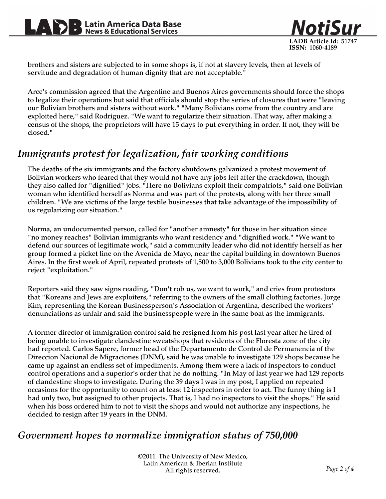

brothers and sisters are subjected to in some shops is, if not at slavery levels, then at levels of servitude and degradation of human dignity that are not acceptable."

Arce's commission agreed that the Argentine and Buenos Aires governments should force the shops to legalize their operations but said that officials should stop the series of closures that were "leaving our Bolivian brothers and sisters without work." "Many Bolivians come from the country and are exploited here," said Rodriguez. "We want to regularize their situation. That way, after making a census of the shops, the proprietors will have 15 days to put everything in order. If not, they will be closed."

## *Immigrants protest for legalization, fair working conditions*

The deaths of the six immigrants and the factory shutdowns galvanized a protest movement of Bolivian workers who feared that they would not have any jobs left after the crackdown, though they also called for "dignified" jobs. "Here no Bolivians exploit their compatriots," said one Bolivian woman who identified herself as Norma and was part of the protests, along with her three small children. "We are victims of the large textile businesses that take advantage of the impossibility of us regularizing our situation."

Norma, an undocumented person, called for "another amnesty" for those in her situation since "no money reaches" Bolivian immigrants who want residency and "dignified work." "We want to defend our sources of legitimate work," said a community leader who did not identify herself as her group formed a picket line on the Avenida de Mayo, near the capital building in downtown Buenos Aires. In the first week of April, repeated protests of 1,500 to 3,000 Bolivians took to the city center to reject "exploitation."

Reporters said they saw signs reading, "Don't rob us, we want to work," and cries from protestors that "Koreans and Jews are exploiters," referring to the owners of the small clothing factories. Jorge Kim, representing the Korean Businessperson's Association of Argentina, described the workers' denunciations as unfair and said the businesspeople were in the same boat as the immigrants.

A former director of immigration control said he resigned from his post last year after he tired of being unable to investigate clandestine sweatshops that residents of the Floresta zone of the city had reported. Carlos Sapere, former head of the Departamento de Control de Permanencia of the Direccion Nacional de Migraciones (DNM), said he was unable to investigate 129 shops because he came up against an endless set of impediments. Among them were a lack of inspectors to conduct control operations and a superior's order that he do nothing. "In May of last year we had 129 reports of clandestine shops to investigate. During the 39 days I was in my post, I applied on repeated occasions for the opportunity to count on at least 12 inspectors in order to act. The funny thing is I had only two, but assigned to other projects. That is, I had no inspectors to visit the shops." He said when his boss ordered him to not to visit the shops and would not authorize any inspections, he decided to resign after 19 years in the DNM.

## *Government hopes to normalize immigration status of 750,000*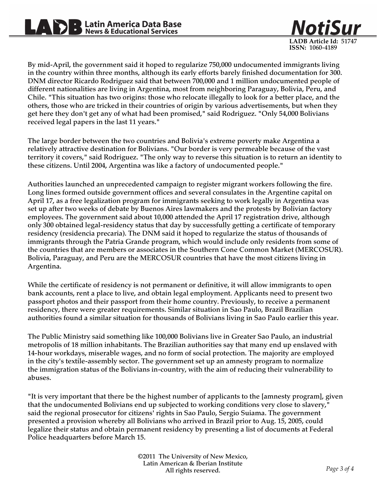NotiSur **LADB Article Id:** 51747 **ISSN:** 1060-4189

By mid-April, the government said it hoped to regularize 750,000 undocumented immigrants living in the country within three months, although its early efforts barely finished documentation for 300. DNM director Ricardo Rodriguez said that between 700,000 and 1 million undocumented people of different nationalities are living in Argentina, most from neighboring Paraguay, Bolivia, Peru, and Chile. "This situation has two origins: those who relocate illegally to look for a better place, and the others, those who are tricked in their countries of origin by various advertisements, but when they get here they don't get any of what had been promised," said Rodriguez. "Only 54,000 Bolivians received legal papers in the last 11 years."

The large border between the two countries and Bolivia's extreme poverty make Argentina a relatively attractive destination for Bolivians. "Our border is very permeable because of the vast territory it covers," said Rodriguez. "The only way to reverse this situation is to return an identity to these citizens. Until 2004, Argentina was like a factory of undocumented people."

Authorities launched an unprecedented campaign to register migrant workers following the fire. Long lines formed outside government offices and several consulates in the Argentine capital on April 17, as a free legalization program for immigrants seeking to work legally in Argentina was set up after two weeks of debate by Buenos Aires lawmakers and the protests by Bolivian factory employees. The government said about 10,000 attended the April 17 registration drive, although only 300 obtained legal-residency status that day by successfully getting a certificate of temporary residency (residencia precaria). The DNM said it hoped to regularize the status of thousands of immigrants through the Patria Grande program, which would include only residents from some of the countries that are members or associates in the Southern Cone Common Market (MERCOSUR). Bolivia, Paraguay, and Peru are the MERCOSUR countries that have the most citizens living in Argentina.

While the certificate of residency is not permanent or definitive, it will allow immigrants to open bank accounts, rent a place to live, and obtain legal employment. Applicants need to present two passport photos and their passport from their home country. Previously, to receive a permanent residency, there were greater requirements. Similar situation in Sao Paulo, Brazil Brazilian authorities found a similar situation for thousands of Bolivians living in Sao Paulo earlier this year.

The Public Ministry said something like 100,000 Bolivians live in Greater Sao Paulo, an industrial metropolis of 18 million inhabitants. The Brazilian authorities say that many end up enslaved with 14-hour workdays, miserable wages, and no form of social protection. The majority are employed in the city's textile-assembly sector. The government set up an amnesty program to normalize the immigration status of the Bolivians in-country, with the aim of reducing their vulnerability to abuses.

"It is very important that there be the highest number of applicants to the [amnesty program], given that the undocumented Bolivians end up subjected to working conditions very close to slavery," said the regional prosecutor for citizens' rights in Sao Paulo, Sergio Suiama. The government presented a provision whereby all Bolivians who arrived in Brazil prior to Aug. 15, 2005, could legalize their status and obtain permanent residency by presenting a list of documents at Federal Police headquarters before March 15.